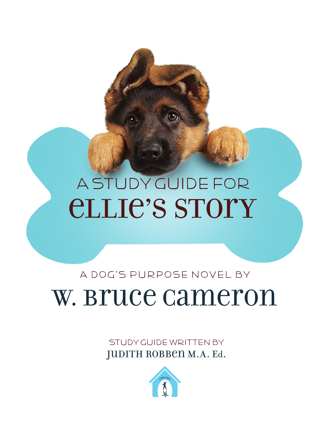# ellie's Story A Study Guide foR

A Dog's purpose novel by

# W. Bruce Cameron

STUDY GUIDE WRITTEN BY JUDITH ROBBEN M.A. Ed.

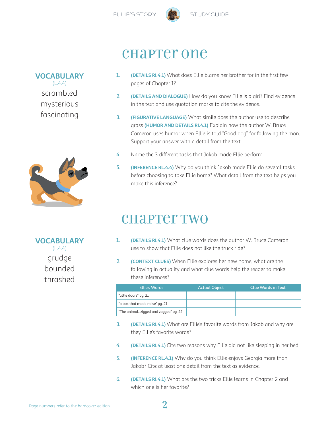

 $(L.4.4)$ scrambled mysterious

fascinating



**VOCABULARY**  $(L.4.4)$ grudge bounded thrashed

### chapter one

- 1. **(DETAILS RI.4.1)** What does Ellie blame her brother for in the first few pages of Chapter 1?
- 2. **(DETAILS AND DIALOGUE)** How do you know Ellie is a girl? Find evidence in the text and use quotation marks to cite the evidence.
- 3. **(FIGURATIVE LANGUAGE)** What simile does the author use to describe grass **(HUMOR AND DETAILS RI.4.1)** Explain how the author W. Bruce Cameron uses humor when Ellie is told "Good dog" for following the man. Support your answer with a detail from the text.
- 4. Name the 3 different tasks that Jakob made Ellie perform.
- 5. **(INFERENCE RL.4.4)** Why do you think Jakob made Ellie do several tasks before choosing to take Ellie home? What detail from the text helps you make this inference?

### chapter two

- 1. **(DETAILS RI.4.1)** What clue words does the author W. Bruce Cameron use to show that Ellie does not like the truck ride?
- 2. **(CONTEXT CLUES)** When Ellie explores her new home, what are the following in actuality and what clue words help the reader to make these inferences?

| <b>Ellie's Words</b>                 | <b>Actual Object</b> | <b>Clue Words in Text</b> |
|--------------------------------------|----------------------|---------------------------|
| "little doors" pg. 21                |                      |                           |
| "a box that made noise" pg. 21       |                      |                           |
| "The animalzigged and zagged" pg. 22 |                      |                           |

- 3. **(DETAILS RI.4.1)** What are Ellie's favorite words from Jakob and why are they Ellie's favorite words?
- 4. **(DETAILS RI.4.1)** Cite two reasons why Ellie did not like sleeping in her bed.
- 5. **(INFERENCE RL.4.1)** Why do you think Ellie enjoys Georgia more than Jakob? Cite at least one detail from the text as evidence.
- 6. **(DETAILS RI.4.1)** What are the two tricks Ellie learns in Chapter 2 and which one is her favorite?

### **VOCABULARY**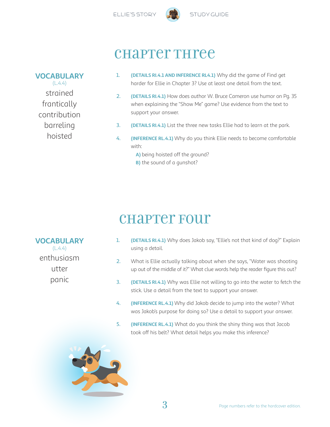

### chapter Three

#### 1. **(DETAILS RI.4.1 AND INFERENCE RL4.1)** Why did the game of Find get harder for Ellie in Chapter 3? Use at least one detail from the text.

- 2. **(DETAILS RI.4.1)** How does author W. Bruce Cameron use humor on Pg. 35 when explaining the "Show Me" game? Use evidence from the text to support your answer.
- 3. **(DETAILS RI.4.1)** List the three new tasks Ellie had to learn at the park.
- 4. **(INFERENCE RL.4.1)** Why do you think Ellie needs to become comfortable with:
	- **A)** being hoisted off the ground?
	- **B)** the sound of a gunshot?

### chapter Four

1. **(DETAILS RI.4.1)** Why does Jakob say, "Ellie's not that kind of dog?" Explain using a detail.

- 2. What is Ellie actually talking about when she says, "Water was shooting up out of the middle of it?" What clue words help the reader figure this out?
- 3. **(DETAILS RI.4.1)** Why was Ellie not willing to go into the water to fetch the stick. Use a detail from the text to support your answer.
- 4. **(INFERENCE RL.4.1)** Why did Jakob decide to jump into the water? What was Jakob's purpose for doing so? Use a detail to support your answer.
- 5. **(INFERENCE RL.4.1)** What do you think the shiny thing was that Jacob took off his belt? What detail helps you make this inference?



#### **VOCABULARY**  $(L.4.4)$ strained

frantically contribution barreling hoisted

**VOCABULARY**  $(L.4.4)$ enthusiasm

- utter
- panic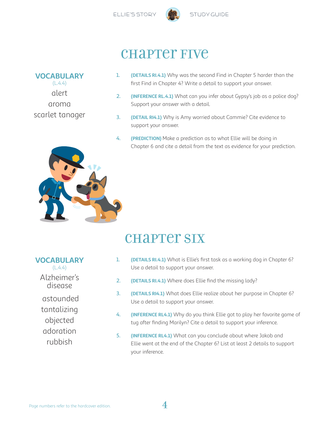

### **CHAPTET FIVE**

#### **VOCABULARY**

 $(L.4.4)$ alert aroma scarlet tanager

- 1. **(DETAILS RI.4.1)** Why was the second Find in Chapter 5 harder than the first Find in Chapter 4? Write a detail to support your answer.
- 2. **(INFERENCE RL.4.1)** What can you infer about Gypsy's job as a police dog? Support your answer with a detail.
- 3. **(DETAIL RI4.1)** Why is Amy worried about Cammie? Cite evidence to support your answer.
- 4. **(PREDICTION)** Make a prediction as to what Ellie will be doing in Chapter 6 and cite a detail from the text as evidence for your prediction.



## **CHAPTET SIX**

| (DETAILS RI.4.1) What is Ellie's first task as a working dog in Chapter 6? |
|----------------------------------------------------------------------------|
| Use a detail to support your answer.                                       |

- 2. **(DETAILS RI.4.1)** Where does Ellie find the missing lady?
- 3. **(DETAILS RI4.1)** What does Ellie realize about her purpose in Chapter 6? Use a detail to support your answer.
- 4. **(INFERENCE RL4.1)** Why do you think Ellie got to play her favorite game of tug after finding Marilyn? Cite a detail to support your inference.
- 5. **(INFERENCE RL4.1)** What can you conclude about where Jakob and Ellie went at the end of the Chapter 6? List at least 2 details to support your inference.

 $(L.4.4)$ Alzheimer's

disease

**VOCABULARY**

 astounded tantalizing

objected

- adoration
- rubbish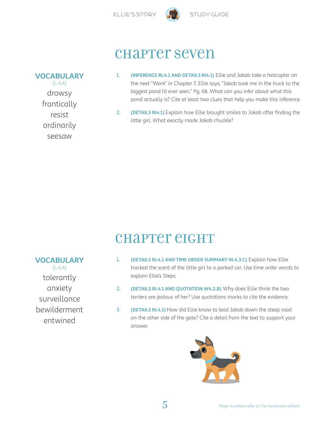

### chapter seven

#### **VOCABULARY**

 $(L.4.4)$ drowsy frantically resist ordinarily seesaw

- 1. **(INFERENCE RL4.1 AND DETAILS RI4.1)** Ellie and Jakob take a helicopter on the next "Work" in Chapter 7. Ellie says, "Jakob took me in the truck to the biggest pond I'd ever seen." Pg. 68. What can you infer about what this pond actually is? Cite at least two clues that help you make this inference.
- 2. **(DETAILS RI4.1)** Explain how Ellie brought smiles to Jakob after finding the little girl. What exactly made Jakob chuckle?

### chapter eight

- 1. **(DETAILS RI.4.1 AND TIME ORDER SUMMARY W.4.3.C)** Explain how Ellie tracked the scent of the little girl to a parked car. Use time order words to explain Ellie's Steps.
- 2. **(DETAILS RI.4.1 AND QUOTATION W4.2.B)** Why does Ellie think the two terriers are jealous of her? Use quotations marks to cite the evidence.
- 3. **(DETAILS RI.4.1)** How did Ellie know to lead Jakob down the steep road on the other side of the gate? Cite a detail from the text to support your answer.



**VOCABULARY**  $(L.4.4)$ 

tolerantly anxiety surveillance bewilderment entwined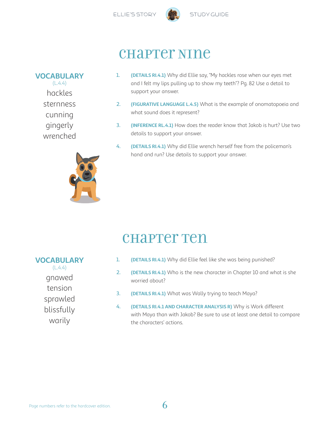

chapter Nine



**VOCABULARY**  $(L.4.4)$ hackles sternness cunning gingerly wrenched



- 1. **(DETAILS RI.4.1)** Why did Ellie say, "My hackles rose when our eyes met and I felt my lips pulling up to show my teeth"? Pg. 82 Use a detail to support your answer.
- 2. **(FIGURATIVE LANGUAGE L.4.5)** What is the example of onomatopoeia and what sound does it represent?
- 3. **(INFERENCE RL.4.1)** How does the reader know that Jakob is hurt? Use two details to support your answer.
- 4. **(DETAILS RI.4.1)** Why did Ellie wrench herself free from the policeman's hand and run? Use details to support your answer.

### chapter Ten

#### **VOCABULARY**

 $(L.4.4)$ 

gnawed tension sprawled blissfully warily

- 1. **(DETAILS RI.4.1)** Why did Ellie feel like she was being punished?
- 2. **(DETAILS RI.4.1)** Who is the new character in Chapter 10 and what is she worried about?
- 3. **(DETAILS RI.4.1)** What was Wally trying to teach Maya?
- 4. **(DETAILS RI.4.1 AND CHARACTER ANALYSIS R)** Why is Work different with Maya than with Jakob? Be sure to use at least one detail to compare the characters' actions.

Page numbers refer to the hardcover edition.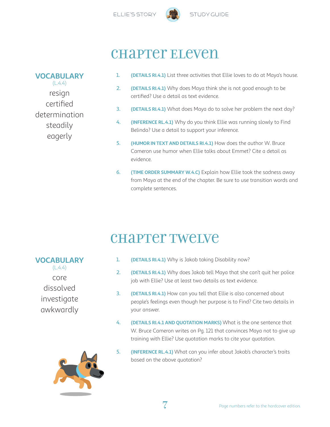



### chapter Eleven

#### **VOCABULARY**

 $(L.4.4)$ resign certified determination steadily eagerly

- 1. **(DETAILS RI.4.1)** List three activities that Ellie loves to do at Maya's house.
- 2. **(DETAILS RI.4.1)** Why does Maya think she is not good enough to be certified? Use a detail as text evidence.
- 3. **(DETAILS RI.4.1)** What does Maya do to solve her problem the next day?
- 4. **(INFERENCE RL.4.1)** Why do you think Ellie was running slowly to Find Belinda? Use a detail to support your inference.
- 5. **(HUMOR IN TEXT AND DETAILS RI.4.1)** How does the author W. Bruce Cameron use humor when Ellie talks about Emmet? Cite a detail as evidence.
- 6. **(TIME ORDER SUMMARY W.4.C)** Explain how Ellie took the sadness away from Maya at the end of the chapter. Be sure to use transition words and complete sentences.

## chapter Twelve

- 1. **(DETAILS RI.4.1)** Why is Jakob taking Disability now?
- 2. **(DETAILS RI.4.1)** Why does Jakob tell Maya that she can't quit her police job with Ellie? Use at least two details as text evidence.
- 3. **(DETAILS RI.4.1)** How can you tell that Ellie is also concerned about people's feelings even though her purpose is to Find? Cite two details in your answer.
- 4. **(DETAILS RI.4.1 AND QUOTATION MARKS)** What is the one sentence that W. Bruce Cameron writes on Pg. 121 that convinces Maya not to give up training with Ellie? Use quotation marks to cite your quotation.
- 5. **(INFERENCE RL.4.1)** What can you infer about Jakob's character's traits based on the above quotation?

### investigate awkwardly

**VOCABULARY**  $(L.4.4)$ 

> core dissolved

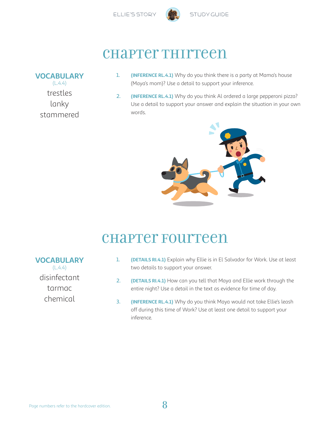

### chapter Thirteen

#### **VOCABULARY**

 $(L.4.4)$ trestles lanky stammered

- 1. **(INFERENCE RL.4.1)** Why do you think there is a party at Mama's house (Maya's mom)? Use a detail to support your inference.
- 2. **(INFERENCE RL.4.1)** Why do you think Al ordered a large pepperoni pizza? Use a detail to support your answer and explain the situation in your own words.



### chapter Fourteen

#### **VOCABULARY**

 $(L.4.4)$ disinfectant tarmac chemical

- 1. **(DETAILS RI.4.1)** Explain why Ellie is in El Salvador for Work. Use at least two details to support your answer.
- 2. **(DETAILS RI.4.1)** How can you tell that Maya and Ellie work through the entire night? Use a detail in the text as evidence for time of day.
- 3. **(INFERENCE RL.4.1)** Why do you think Maya would not take Ellie's leash off during this time of Work? Use at least one detail to support your inference.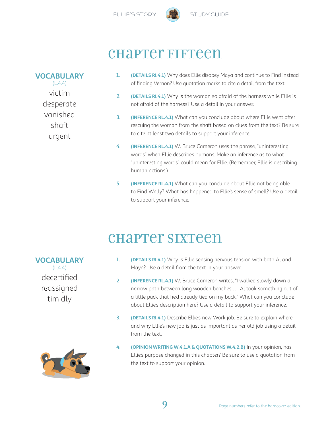



### chapter Fifteen

#### **VOCABULARY**

 $(L.4.4)$ victim desperate vanished shaft urgent

- 1. **(DETAILS RI.4.1)** Why does Ellie disobey Maya and continue to Find instead of finding Vernon? Use quotation marks to cite a detail from the text.
- 2. **(DETAILS RI.4.1)** Why is the woman so afraid of the harness while Ellie is not afraid of the harness? Use a detail in your answer.
- 3. **(INFERENCE RL.4.1)** What can you conclude about where Ellie went after rescuing the woman from the shaft based on clues from the text? Be sure to cite at least two details to support your inference.
- 4. **(INFERENCE RL.4.1)** W. Bruce Cameron uses the phrase, "uninteresting words" when Ellie describes humans. Make an inference as to what "uninteresting words" could mean for Ellie. (Remember, Ellie is describing human actions.)
- 5. **(INFERENCE RL.4.1)** What can you conclude about Ellie not being able to Find Wally? What has happened to Ellie's sense of smell? Use a detail to support your inference.

### chapter Sixteen

- 1. **(DETAILS RI.4.1)** Why is Ellie sensing nervous tension with both Al and Maya? Use a detail from the text in your answer.
- 2. **(INFERENCE RL.4.1)** W. Bruce Cameron writes, "I walked slowly down a narrow path between long wooden benches . . . Al took something out of a little pack that he'd already tied on my back." What can you conclude about Ellie's description here? Use a detail to support your inference.
- 3. **(DETAILS RI.4.1)** Describe Ellie's new Work job. Be sure to explain where and why Ellie's new job is just as important as her old job using a detail from the text.
- 4. **(OPINION WRITING W.4.1.A & QUOTATIONS W.4.2.B)** In your opinion, has Ellie's purpose changed in this chapter? Be sure to use a quotation from the text to support your opinion.

#### **VOCABULARY**  $(L.4.4)$

decertified reassigned timidly